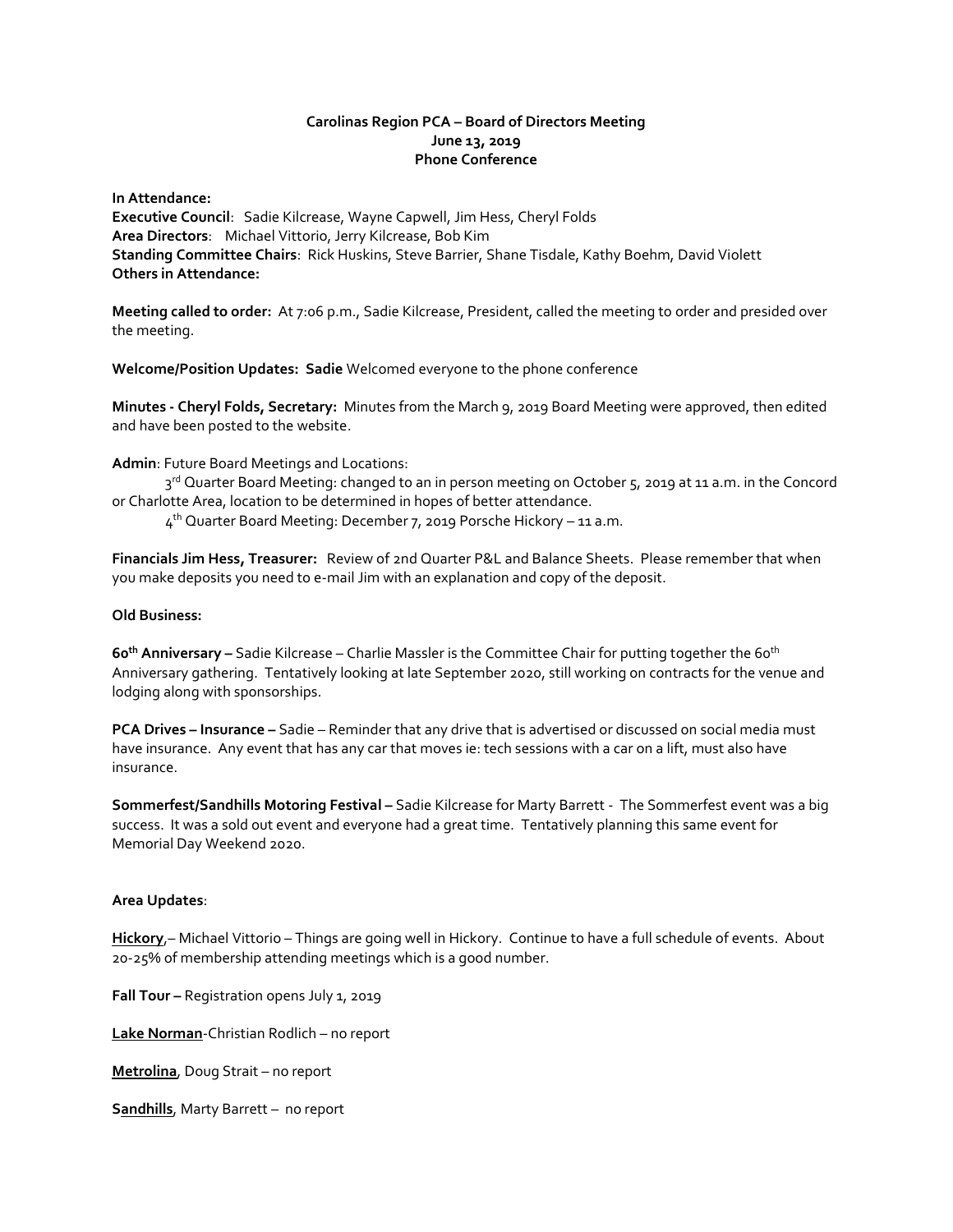# **Carolinas Region PCA – Board of Directors Meeting June 13, 2019 Phone Conference**

**In Attendance: Executive Council**: Sadie Kilcrease, Wayne Capwell, Jim Hess, Cheryl Folds **Area Directors**: Michael Vittorio, Jerry Kilcrease, Bob Kim **Standing Committee Chairs**: Rick Huskins, Steve Barrier, Shane Tisdale, Kathy Boehm, David Violett **Others in Attendance:**

**Meeting called to order:** At 7:06 p.m., Sadie Kilcrease, President, called the meeting to order and presided over the meeting.

**Welcome/Position Updates: Sadie** Welcomed everyone to the phone conference

**Minutes - Cheryl Folds, Secretary:** Minutes from the March 9, 2019 Board Meeting were approved, then edited and have been posted to the website.

**Admin**: Future Board Meetings and Locations:

3<sup>rd</sup> Quarter Board Meeting: changed to an in person meeting on October 5, 2019 at 11 a.m. in the Concord or Charlotte Area, location to be determined in hopes of better attendance.

4<sup>th</sup> Quarter Board Meeting: December 7, 2019 Porsche Hickory – 11 a.m.

**Financials Jim Hess, Treasurer:** Review of 2nd Quarter P&L and Balance Sheets. Please remember that when you make deposits you need to e-mail Jim with an explanation and copy of the deposit.

## **Old Business:**

**60 th Anniversary –** Sadie Kilcrease – Charlie Massler is the Committee Chair for putting together the 60 th Anniversary gathering. Tentatively looking at late September 2020, still working on contracts for the venue and lodging along with sponsorships.

**PCA Drives – Insurance –** Sadie – Reminder that any drive that is advertised or discussed on social media must have insurance. Any event that has any car that moves ie: tech sessions with a car on a lift, must also have insurance.

**Sommerfest/Sandhills Motoring Festival –** Sadie Kilcrease for Marty Barrett - The Sommerfest event was a big success. It was a sold out event and everyone had a great time. Tentatively planning this same event for Memorial Day Weekend 2020.

### **Area Updates**:

**Hickory**,– Michael Vittorio – Things are going well in Hickory. Continue to have a full schedule of events. About 20-25% of membership attending meetings which is a good number.

**Fall Tour –** Registration opens July 1, 2019

**Lake Norman**-Christian Rodlich – no report

**Metrolina**, Doug Strait – no report

**Sandhills**, Marty Barrett – no report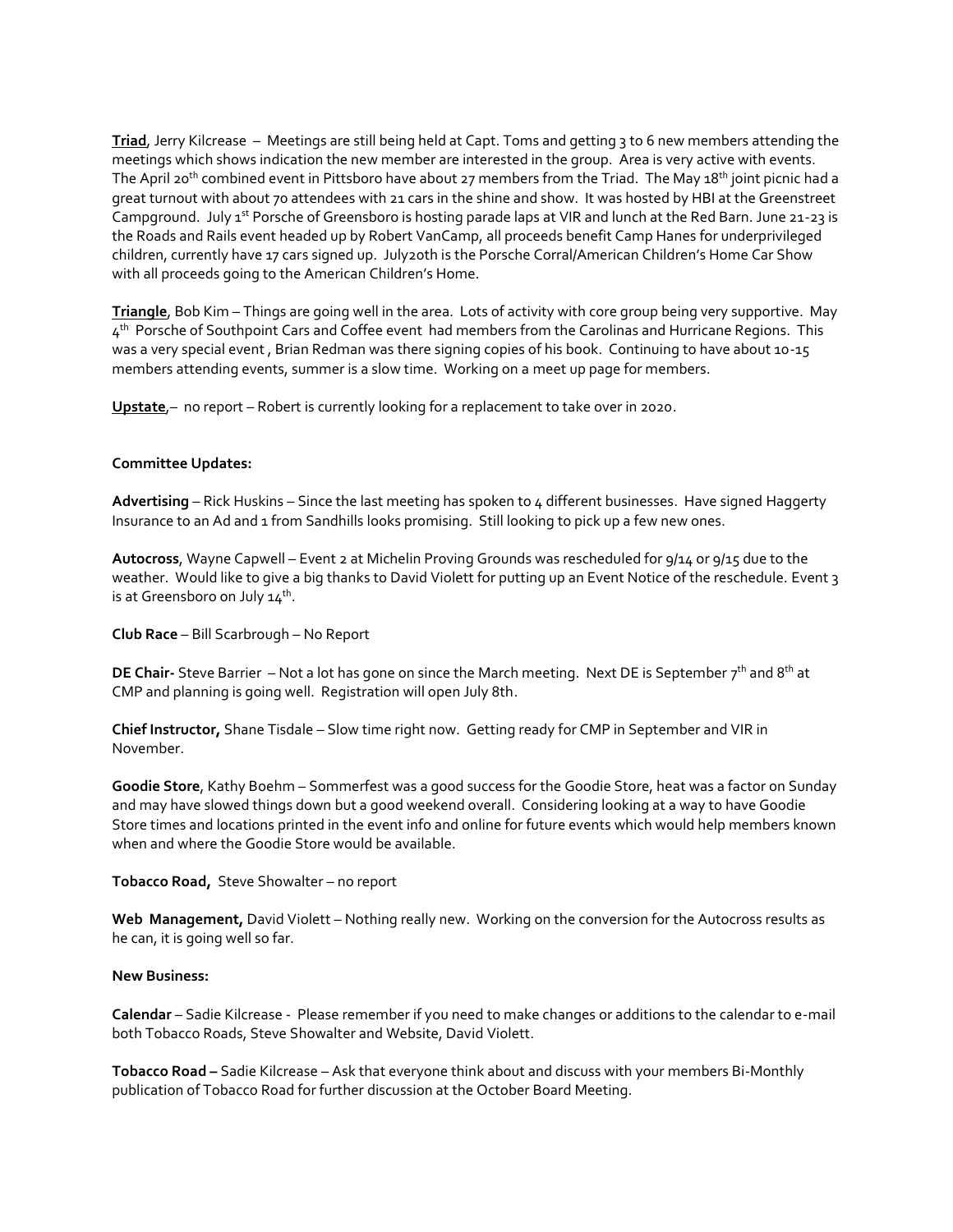**Triad**, Jerry Kilcrease – Meetings are still being held at Capt. Toms and getting 3 to 6 new members attending the meetings which shows indication the new member are interested in the group. Area is very active with events. The April 20<sup>th</sup> combined event in Pittsboro have about 27 members from the Triad. The May 18<sup>th</sup> joint picnic had a great turnout with about 70 attendees with 21 cars in the shine and show. It was hosted by HBI at the Greenstreet Campground. July 1<sup>st</sup> Porsche of Greensboro is hosting parade laps at VIR and lunch at the Red Barn. June 21-23 is the Roads and Rails event headed up by Robert VanCamp, all proceeds benefit Camp Hanes for underprivileged children, currently have 17 cars signed up. July20th is the Porsche Corral/American Children's Home Car Show with all proceeds going to the American Children's Home.

**Triangle**, Bob Kim – Things are going well in the area. Lots of activity with core group being very supportive. May  $4^{\text{th}}$  Porsche of Southpoint Cars and Coffee event had members from the Carolinas and Hurricane Regions. This was a very special event , Brian Redman was there signing copies of his book. Continuing to have about 10-15 members attending events, summer is a slow time. Working on a meet up page for members.

**Upstate**,– no report – Robert is currently looking for a replacement to take over in 2020.

## **Committee Updates:**

**Advertising** – Rick Huskins – Since the last meeting has spoken to 4 different businesses. Have signed Haggerty Insurance to an Ad and 1 from Sandhills looks promising. Still looking to pick up a few new ones.

**Autocross**, Wayne Capwell – Event 2 at Michelin Proving Grounds was rescheduled for 9/14 or 9/15 due to the weather. Would like to give a big thanks to David Violett for putting up an Event Notice of the reschedule. Event 3 is at Greensboro on July 14<sup>th</sup>.

**Club Race** – Bill Scarbrough – No Report

**DE Chair-** Steve Barrier – Not a lot has gone on since the March meeting. Next DE is September 7<sup>th</sup> and 8<sup>th</sup> at CMP and planning is going well. Registration will open July 8th.

**Chief Instructor,** Shane Tisdale – Slow time right now. Getting ready for CMP in September and VIR in November.

**Goodie Store**, Kathy Boehm – Sommerfest was a good success for the Goodie Store, heat was a factor on Sunday and may have slowed things down but a good weekend overall. Considering looking at a way to have Goodie Store times and locations printed in the event info and online for future events which would help members known when and where the Goodie Store would be available.

**Tobacco Road,** Steve Showalter – no report

**Web Management,** David Violett – Nothing really new. Working on the conversion for the Autocross results as he can, it is going well so far.

### **New Business:**

**Calendar** – Sadie Kilcrease -Please remember if you need to make changes or additions to the calendar to e-mail both Tobacco Roads, Steve Showalter and Website, David Violett.

**Tobacco Road –** Sadie Kilcrease – Ask that everyone think about and discuss with your members Bi-Monthly publication of Tobacco Road for further discussion at the October Board Meeting.